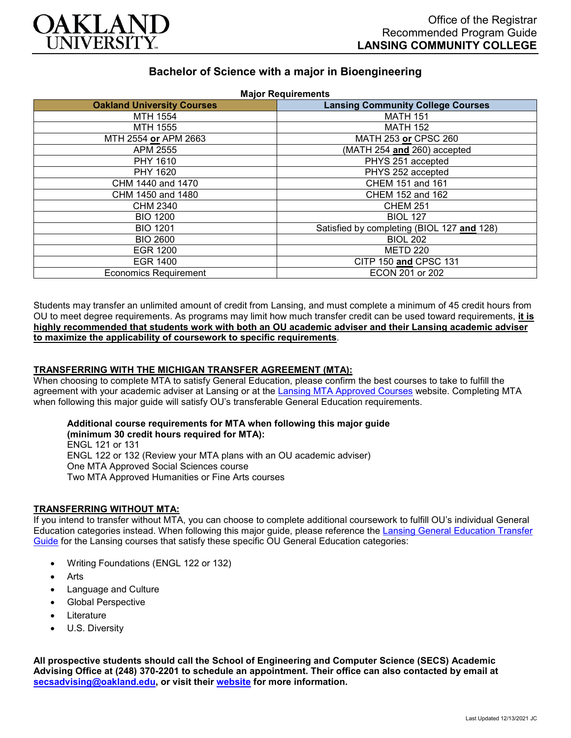

## **Bachelor of Science with a major in Bioengineering**

| <b>Oakland University Courses</b> | <b>Lansing Community College Courses</b>   |
|-----------------------------------|--------------------------------------------|
| MTH 1554                          | <b>MATH 151</b>                            |
| MTH 1555                          | <b>MATH 152</b>                            |
| MTH 2554 or APM 2663              | MATH 253 or CPSC 260                       |
| APM 2555                          | (MATH 254 and 260) accepted                |
| PHY 1610                          | PHYS 251 accepted                          |
| PHY 1620                          | PHYS 252 accepted                          |
| CHM 1440 and 1470                 | CHEM 151 and 161                           |
| CHM 1450 and 1480                 | CHEM 152 and 162                           |
| <b>CHM 2340</b>                   | <b>CHEM 251</b>                            |
| <b>BIO 1200</b>                   | <b>BIOL 127</b>                            |
| <b>BIO 1201</b>                   | Satisfied by completing (BIOL 127 and 128) |
| <b>BIO 2600</b>                   | <b>BIOL 202</b>                            |
| <b>EGR 1200</b>                   | <b>METD 220</b>                            |
| <b>EGR 1400</b>                   | CITP 150 and CPSC 131                      |
| <b>Economics Requirement</b>      | ECON 201 or 202                            |

Students may transfer an unlimited amount of credit from Lansing, and must complete a minimum of 45 credit hours from OU to meet degree requirements. As programs may limit how much transfer credit can be used toward requirements, **it is highly recommended that students work with both an OU academic adviser and their Lansing academic adviser to maximize the applicability of coursework to specific requirements**.

#### **TRANSFERRING WITH THE MICHIGAN TRANSFER AGREEMENT (MTA):**

When choosing to complete MTA to satisfy General Education, please confirm the best courses to take to fulfill the agreement with your academic adviser at Lansing or at the [Lansing MTA Approved Courses](https://www.lcc.edu/academics/transfer/mta.html) website. Completing MTA when following this major guide will satisfy OU's transferable General Education requirements.

# **Additional course requirements for MTA when following this major guide**

**(minimum 30 credit hours required for MTA):** ENGL 121 or 131 ENGL 122 or 132 (Review your MTA plans with an OU academic adviser) One MTA Approved Social Sciences course Two MTA Approved Humanities or Fine Arts courses

#### **TRANSFERRING WITHOUT MTA:**

If you intend to transfer without MTA, you can choose to complete additional coursework to fulfill OU's individual General Education categories instead. When following this major guide, please reference the [Lansing General Education Transfer](https://www.oakland.edu/Assets/Oakland/program-guides/lansing-community-college/university-general-education-requirements/Lansing%20Gen%20Ed.pdf)  [Guide](https://www.oakland.edu/Assets/Oakland/program-guides/lansing-community-college/university-general-education-requirements/Lansing%20Gen%20Ed.pdf) for the Lansing courses that satisfy these specific OU General Education categories:

- Writing Foundations (ENGL 122 or 132)
- **Arts**
- Language and Culture
- Global Perspective
- **Literature**
- U.S. Diversity

**All prospective students should call the School of Engineering and Computer Science (SECS) Academic Advising Office at (248) 370-2201 to schedule an appointment. Their office can also contacted by email at [secsadvising@oakland.edu,](mailto:secsadvising@oakland.edu) or visit their [website](https://wwwp.oakland.edu/secs/advising/) for more information.**